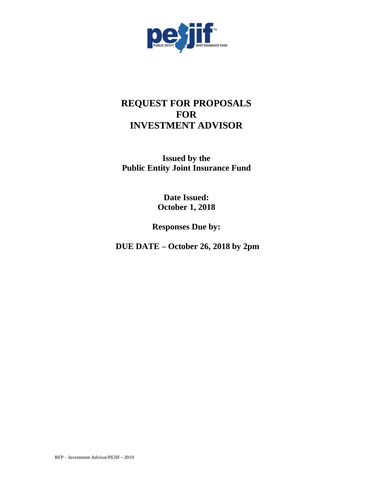

# **REQUEST FOR PROPOSALS FOR INVESTMENT ADVISOR**

**Issued by the Public Entity Joint Insurance Fund**

> **Date Issued: October 1, 2018**

**Responses Due by:** 

**DUE DATE – October 26, 2018 by 2pm**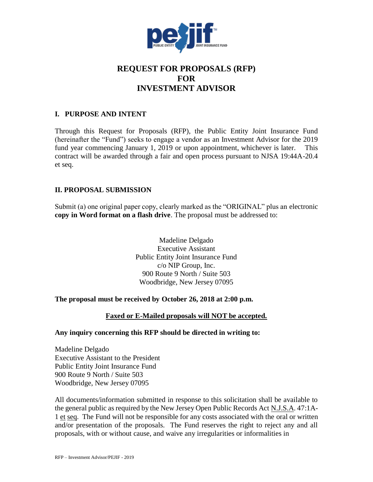

## **REQUEST FOR PROPOSALS (RFP) FOR INVESTMENT ADVISOR**

## **I. PURPOSE AND INTENT**

Through this Request for Proposals (RFP), the Public Entity Joint Insurance Fund (hereinafter the "Fund") seeks to engage a vendor as an Investment Advisor for the 2019 fund year commencing January 1, 2019 or upon appointment, whichever is later. This contract will be awarded through a fair and open process pursuant to NJSA 19:44A-20.4 et seq.

## **II. PROPOSAL SUBMISSION**

Submit (a) one original paper copy, clearly marked as the "ORIGINAL" plus an electronic **copy in Word format on a flash drive**. The proposal must be addressed to:

> Madeline Delgado Executive Assistant Public Entity Joint Insurance Fund c/o NIP Group, Inc. 900 Route 9 North / Suite 503 Woodbridge, New Jersey 07095

#### **The proposal must be received by October 26, 2018 at 2:00 p.m.**

#### **Faxed or E-Mailed proposals will NOT be accepted.**

#### **Any inquiry concerning this RFP should be directed in writing to:**

Madeline Delgado Executive Assistant to the President Public Entity Joint Insurance Fund 900 Route 9 North / Suite 503 Woodbridge, New Jersey 07095

All documents/information submitted in response to this solicitation shall be available to the general public as required by the New Jersey Open Public Records Act N.J.S.A. 47:1A-1 et seq. The Fund will not be responsible for any costs associated with the oral or written and/or presentation of the proposals. The Fund reserves the right to reject any and all proposals, with or without cause, and waive any irregularities or informalities in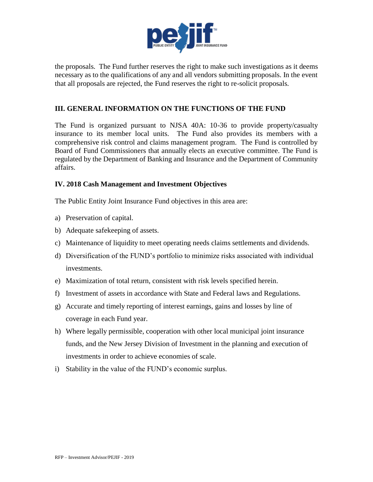

the proposals. The Fund further reserves the right to make such investigations as it deems necessary as to the qualifications of any and all vendors submitting proposals. In the event that all proposals are rejected, the Fund reserves the right to re-solicit proposals.

#### **III. GENERAL INFORMATION ON THE FUNCTIONS OF THE FUND**

The Fund is organized pursuant to NJSA 40A: 10-36 to provide property/casualty insurance to its member local units. The Fund also provides its members with a comprehensive risk control and claims management program. The Fund is controlled by Board of Fund Commissioners that annually elects an executive committee. The Fund is regulated by the Department of Banking and Insurance and the Department of Community affairs.

#### **IV. 2018 Cash Management and Investment Objectives**

The Public Entity Joint Insurance Fund objectives in this area are:

- a) Preservation of capital.
- b) Adequate safekeeping of assets.
- c) Maintenance of liquidity to meet operating needs claims settlements and dividends.
- d) Diversification of the FUND's portfolio to minimize risks associated with individual investments.
- e) Maximization of total return, consistent with risk levels specified herein.
- f) Investment of assets in accordance with State and Federal laws and Regulations.
- g) Accurate and timely reporting of interest earnings, gains and losses by line of coverage in each Fund year.
- h) Where legally permissible, cooperation with other local municipal joint insurance funds, and the New Jersey Division of Investment in the planning and execution of investments in order to achieve economies of scale.
- i) Stability in the value of the FUND's economic surplus.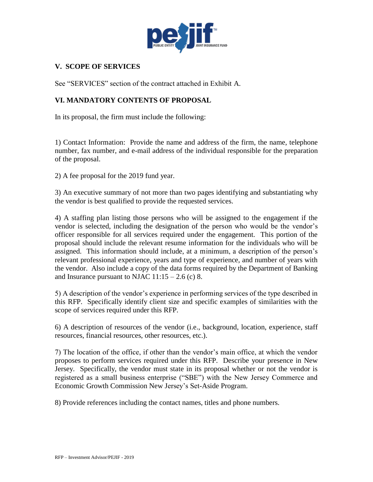

## **V. SCOPE OF SERVICES**

See "SERVICES" section of the contract attached in Exhibit A.

## **VI. MANDATORY CONTENTS OF PROPOSAL**

In its proposal, the firm must include the following:

1) Contact Information: Provide the name and address of the firm, the name, telephone number, fax number, and e-mail address of the individual responsible for the preparation of the proposal.

2) A fee proposal for the 2019 fund year.

3) An executive summary of not more than two pages identifying and substantiating why the vendor is best qualified to provide the requested services.

4) A staffing plan listing those persons who will be assigned to the engagement if the vendor is selected, including the designation of the person who would be the vendor's officer responsible for all services required under the engagement. This portion of the proposal should include the relevant resume information for the individuals who will be assigned. This information should include, at a minimum, a description of the person's relevant professional experience, years and type of experience, and number of years with the vendor. Also include a copy of the data forms required by the Department of Banking and Insurance pursuant to NJAC  $11:15 - 2.6$  (c) 8.

5) A description of the vendor's experience in performing services of the type described in this RFP. Specifically identify client size and specific examples of similarities with the scope of services required under this RFP.

6) A description of resources of the vendor (i.e., background, location, experience, staff resources, financial resources, other resources, etc.).

7) The location of the office, if other than the vendor's main office, at which the vendor proposes to perform services required under this RFP. Describe your presence in New Jersey. Specifically, the vendor must state in its proposal whether or not the vendor is registered as a small business enterprise ("SBE") with the New Jersey Commerce and Economic Growth Commission New Jersey's Set-Aside Program.

8) Provide references including the contact names, titles and phone numbers.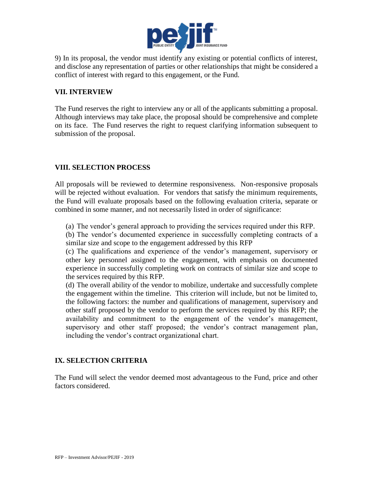

9) In its proposal, the vendor must identify any existing or potential conflicts of interest, and disclose any representation of parties or other relationships that might be considered a conflict of interest with regard to this engagement, or the Fund.

## **VII. INTERVIEW**

The Fund reserves the right to interview any or all of the applicants submitting a proposal. Although interviews may take place, the proposal should be comprehensive and complete on its face. The Fund reserves the right to request clarifying information subsequent to submission of the proposal.

## **VIII. SELECTION PROCESS**

All proposals will be reviewed to determine responsiveness. Non-responsive proposals will be rejected without evaluation. For vendors that satisfy the minimum requirements, the Fund will evaluate proposals based on the following evaluation criteria, separate or combined in some manner, and not necessarily listed in order of significance:

(a) The vendor's general approach to providing the services required under this RFP.

(b) The vendor's documented experience in successfully completing contracts of a similar size and scope to the engagement addressed by this RFP

(c) The qualifications and experience of the vendor's management, supervisory or other key personnel assigned to the engagement, with emphasis on documented experience in successfully completing work on contracts of similar size and scope to the services required by this RFP.

(d) The overall ability of the vendor to mobilize, undertake and successfully complete the engagement within the timeline. This criterion will include, but not be limited to, the following factors: the number and qualifications of management, supervisory and other staff proposed by the vendor to perform the services required by this RFP; the availability and commitment to the engagement of the vendor's management, supervisory and other staff proposed; the vendor's contract management plan, including the vendor's contract organizational chart.

#### **IX. SELECTION CRITERIA**

The Fund will select the vendor deemed most advantageous to the Fund, price and other factors considered.